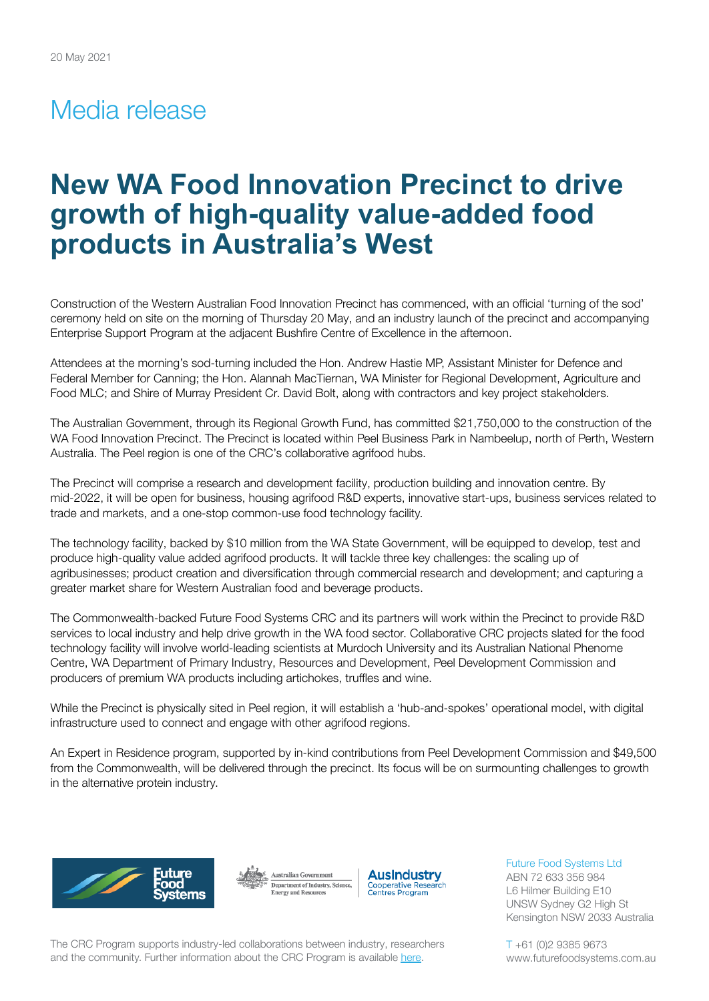## Media release

# **New WA Food Innovation Precinct to drive growth of high-quality value-added food products in Australia's West**

Construction of the Western Australian Food Innovation Precinct has commenced, with an official 'turning of the sod' ceremony held on site on the morning of Thursday 20 May, and an industry launch of the precinct and accompanying Enterprise Support Program at the adjacent Bushfire Centre of Excellence in the afternoon.

Attendees at the morning's sod-turning included the Hon. Andrew Hastie MP, Assistant Minister for Defence and Federal Member for Canning; the Hon. Alannah MacTiernan, WA Minister for Regional Development, Agriculture and Food MLC; and Shire of Murray President Cr. David Bolt, along with contractors and key project stakeholders.

The Australian Government, through its Regional Growth Fund, has committed \$21,750,000 to the construction of the WA Food Innovation Precinct. The Precinct is located within Peel Business Park in Nambeelup, north of Perth, Western Australia. The Peel region is one of the CRC's collaborative agrifood hubs.

The Precinct will comprise a research and development facility, production building and innovation centre. By mid-2022, it will be open for business, housing agrifood R&D experts, innovative start-ups, business services related to trade and markets, and a one-stop common-use food technology facility.

The technology facility, backed by \$10 million from the WA State Government, will be equipped to develop, test and produce high-quality value added agrifood products. It will tackle three key challenges: the scaling up of agribusinesses; product creation and diversification through commercial research and development; and capturing a greater market share for Western Australian food and beverage products.

The Commonwealth-backed Future Food Systems CRC and its partners will work within the Precinct to provide R&D services to local industry and help drive growth in the WA food sector. Collaborative CRC projects slated for the food technology facility will involve world-leading scientists at Murdoch University and its Australian National Phenome Centre, WA Department of Primary Industry, Resources and Development, Peel Development Commission and producers of premium WA products including artichokes, truffles and wine.

While the Precinct is physically sited in Peel region, it will establish a 'hub-and-spokes' operational model, with digital infrastructure used to connect and engage with other agrifood regions.

An Expert in Residence program, supported by in-kind contributions from Peel Development Commission and \$49,500 from the Commonwealth, will be delivered through the precinct. Its focus will be on surmounting challenges to growth in the alternative protein industry.







Future Food Systems Ltd ABN 72 633 356 984 L6 Hilmer Building E10 UNSW Sydney G2 High St Kensington NSW 2033 Australia

The CRC Program supports industry-led collaborations between industry, researchers and the community. Further information about the CRC Program is available [here](https://www.business.gov.au/SearchResult?query=cooperativeresearchcentresprogramme&type=1).

T +61 (0)2 9385 9673 www.futurefoodsystems.com.au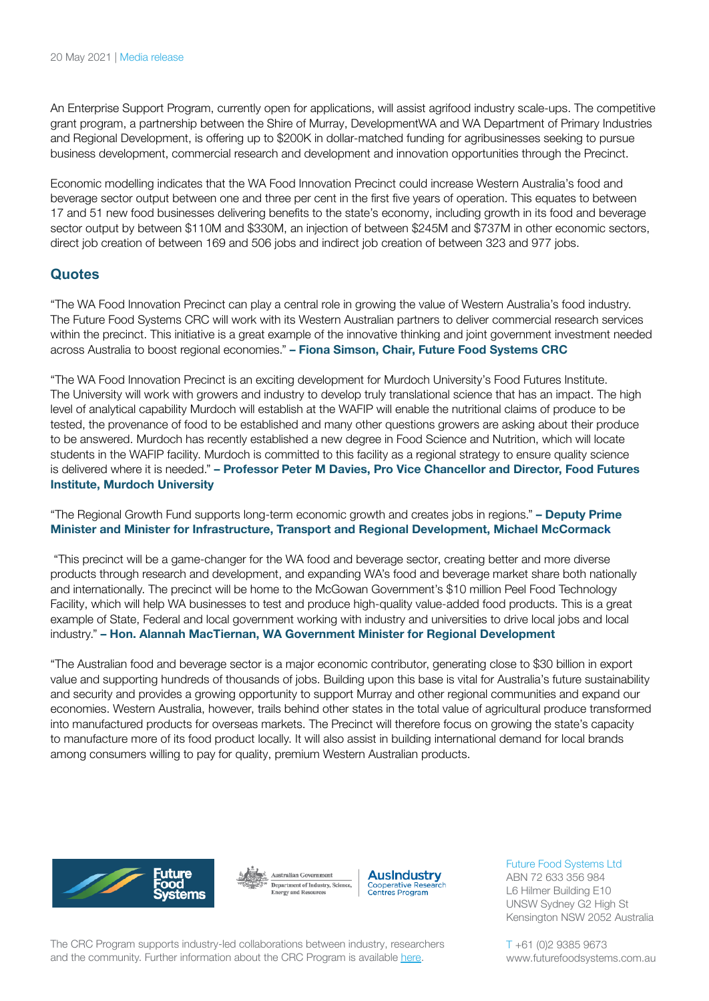An Enterprise Support Program, currently open for applications, will assist agrifood industry scale-ups. The competitive grant program, a partnership between the Shire of Murray, DevelopmentWA and WA Department of Primary Industries and Regional Development, is offering up to \$200K in dollar-matched funding for agribusinesses seeking to pursue business development, commercial research and development and innovation opportunities through the Precinct.

Economic modelling indicates that the WA Food Innovation Precinct could increase Western Australia's food and beverage sector output between one and three per cent in the first five years of operation. This equates to between 17 and 51 new food businesses delivering benefits to the state's economy, including growth in its food and beverage sector output by between \$110M and \$330M, an injection of between \$245M and \$737M in other economic sectors, direct job creation of between 169 and 506 jobs and indirect job creation of between 323 and 977 jobs.

## **Quotes**

"The WA Food Innovation Precinct can play a central role in growing the value of Western Australia's food industry. The Future Food Systems CRC will work with its Western Australian partners to deliver commercial research services within the precinct. This initiative is a great example of the innovative thinking and joint government investment needed across Australia to boost regional economies." **– Fiona Simson, Chair, Future Food Systems CRC**

"The WA Food Innovation Precinct is an exciting development for Murdoch University's Food Futures Institute. The University will work with growers and industry to develop truly translational science that has an impact. The high level of analytical capability Murdoch will establish at the WAFIP will enable the nutritional claims of produce to be tested, the provenance of food to be established and many other questions growers are asking about their produce to be answered. Murdoch has recently established a new degree in Food Science and Nutrition, which will locate students in the WAFIP facility. Murdoch is committed to this facility as a regional strategy to ensure quality science is delivered where it is needed." **– Professor Peter M Davies, Pro Vice Chancellor and Director, Food Futures Institute, Murdoch University**

"The Regional Growth Fund supports long-term economic growth and creates jobs in regions." **– Deputy Prime Minister and Minister for Infrastructure, Transport and Regional Development, Michael McCormack**

"This precinct will be a game-changer for the WA food and beverage sector, creating better and more diverse products through research and development, and expanding WA's food and beverage market share both nationally and internationally. The precinct will be home to the McGowan Government's \$10 million Peel Food Technology Facility, which will help WA businesses to test and produce high-quality value-added food products. This is a great example of State, Federal and local government working with industry and universities to drive local jobs and local industry." **– Hon. Alannah MacTiernan, WA Government Minister for Regional Development**

"The Australian food and beverage sector is a major economic contributor, generating close to \$30 billion in export value and supporting hundreds of thousands of jobs. Building upon this base is vital for Australia's future sustainability and security and provides a growing opportunity to support Murray and other regional communities and expand our economies. Western Australia, however, trails behind other states in the total value of agricultural produce transformed into manufactured products for overseas markets. The Precinct will therefore focus on growing the state's capacity to manufacture more of its food product locally. It will also assist in building international demand for local brands among consumers willing to pay for quality, premium Western Australian products.







#### Future Food Systems Ltd

ABN 72 633 356 984 L6 Hilmer Building E10 UNSW Sydney G2 High St Kensington NSW 2052 Australia

The CRC Program supports industry-led collaborations between industry, researchers and the community. Further information about the CRC Program is available [here](https://www.business.gov.au/SearchResult?query=cooperativeresearchcentresprogramme&type=1).

T +61 (0)2 9385 9673 www.futurefoodsystems.com.au